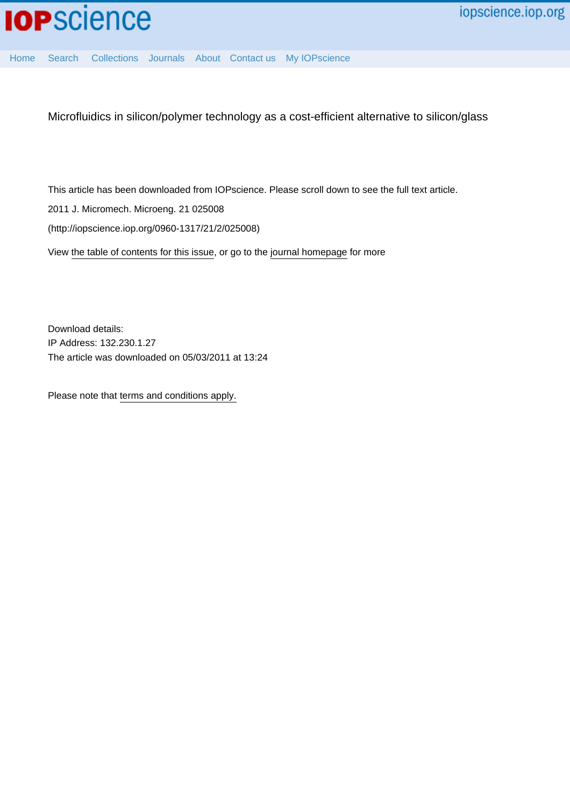

[Home](http://iopscience.iop.org/) [Search](http://iopscience.iop.org/search) [Collections](http://iopscience.iop.org/collections) [Journals](http://iopscience.iop.org/journals) [About](http://iopscience.iop.org/page/aboutioppublishing) [Contact us](http://iopscience.iop.org/contact) [My IOPscience](http://iopscience.iop.org/myiopscience)

Microfluidics in silicon/polymer technology as a cost-efficient alternative to silicon/glass

This article has been downloaded from IOPscience. Please scroll down to see the full text article.

2011 J. Micromech. Microeng. 21 025008

(http://iopscience.iop.org/0960-1317/21/2/025008)

View [the table of contents for this issue](http://iopscience.iop.org/0960-1317/21/2), or go to the [journal homepage](http://iopscience.iop.org/0960-1317) for more

Download details: IP Address: 132.230.1.27 The article was downloaded on 05/03/2011 at 13:24

Please note that [terms and conditions apply.](http://iopscience.iop.org/page/terms)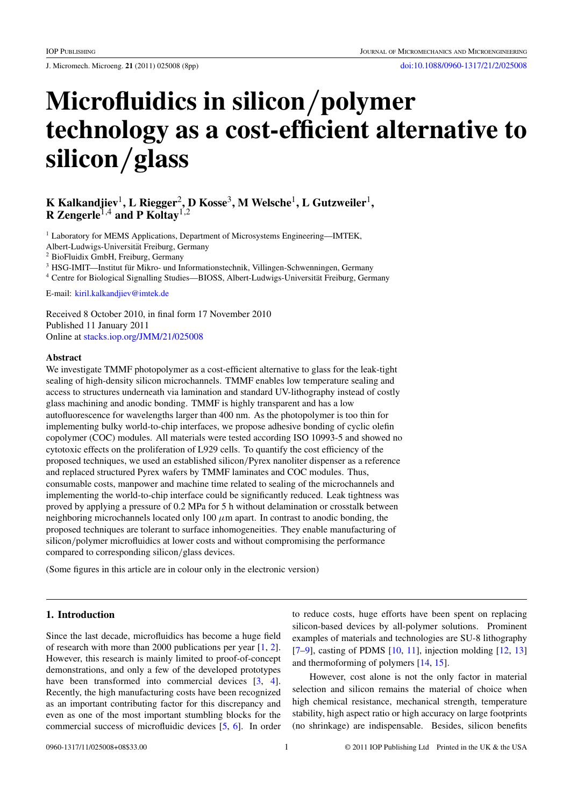J. Micromech. Microeng. **21** (2011) 025008 (8pp) [doi:10.1088/0960-1317/21/2/025008](http://dx.doi.org/10.1088/0960-1317/21/2/025008)

# **Microfluidics in silicon***/***polymer technology as a cost-efficient alternative to silicon***/***glass**

# **K Kalkandjiev**1**, L Riegger**2**, D Kosse**3**, M Welsche**1**, L Gutzweiler**1**, R Zengerle**1,4 **and P Koltay**1,2

<sup>1</sup> Laboratory for MEMS Applications, Department of Microsystems Engineering—IMTEK,

Albert-Ludwigs-Universitat Freiburg, Germany ¨

<sup>2</sup> BioFluidix GmbH, Freiburg, Germany

 $3$  HSG-IMIT—Institut für Mikro- und Informationstechnik, Villingen-Schwenningen, Germany

<sup>4</sup> Centre for Biological Signalling Studies—BIOSS, Albert-Ludwigs-Universität Freiburg, Germany

E-mail: [kiril.kalkandjiev@imtek.de](mailto:kiril.kalkandjiev@imtek.de)

Received 8 October 2010, in final form 17 November 2010 Published 11 January 2011 Online at [stacks.iop.org/JMM/21/025008](http://stacks.iop.org/JMM/21/025008)

#### **Abstract**

We investigate TMMF photopolymer as a cost-efficient alternative to glass for the leak-tight sealing of high-density silicon microchannels. TMMF enables low temperature sealing and access to structures underneath via lamination and standard UV-lithography instead of costly glass machining and anodic bonding. TMMF is highly transparent and has a low autofluorescence for wavelengths larger than 400 nm. As the photopolymer is too thin for implementing bulky world-to-chip interfaces, we propose adhesive bonding of cyclic olefin copolymer (COC) modules. All materials were tested according ISO 10993-5 and showed no cytotoxic effects on the proliferation of L929 cells. To quantify the cost efficiency of the proposed techniques, we used an established silicon*/*Pyrex nanoliter dispenser as a reference and replaced structured Pyrex wafers by TMMF laminates and COC modules. Thus, consumable costs, manpower and machine time related to sealing of the microchannels and implementing the world-to-chip interface could be significantly reduced. Leak tightness was proved by applying a pressure of 0.2 MPa for 5 h without delamination or crosstalk between neighboring microchannels located only  $100 \mu m$  apart. In contrast to anodic bonding, the proposed techniques are tolerant to surface inhomogeneities. They enable manufacturing of silicon*/*polymer microfluidics at lower costs and without compromising the performance compared to corresponding silicon*/*glass devices.

(Some figures in this article are in colour only in the electronic version)

# **1. Introduction**

Since the last decade, microfluidics has become a huge field of research with more than 2000 publications per year [\[1](#page-6-0), [2](#page-6-0)]. However, this research is mainly limited to proof-of-concept demonstrations, and only a few of the developed prototypes have been transformed into commercial devices [\[3,](#page-6-0) [4](#page-6-0)]. Recently, the high manufacturing costs have been recognized as an important contributing factor for this discrepancy and even as one of the most important stumbling blocks for the commercial success of microfluidic devices [\[5](#page-6-0), [6](#page-6-0)]. In order

to reduce costs, huge efforts have been spent on replacing silicon-based devices by all-polymer solutions. Prominent examples of materials and technologies are SU-8 lithography  $[7-9]$ , casting of PDMS  $[10, 11]$  $[10, 11]$  $[10, 11]$ , injection molding  $[12, 13]$  $[12, 13]$  $[12, 13]$ and thermoforming of polymers [\[14](#page-7-0), [15](#page-7-0)].

However, cost alone is not the only factor in material selection and silicon remains the material of choice when high chemical resistance, mechanical strength, temperature stability, high aspect ratio or high accuracy on large footprints (no shrinkage) are indispensable. Besides, silicon benefits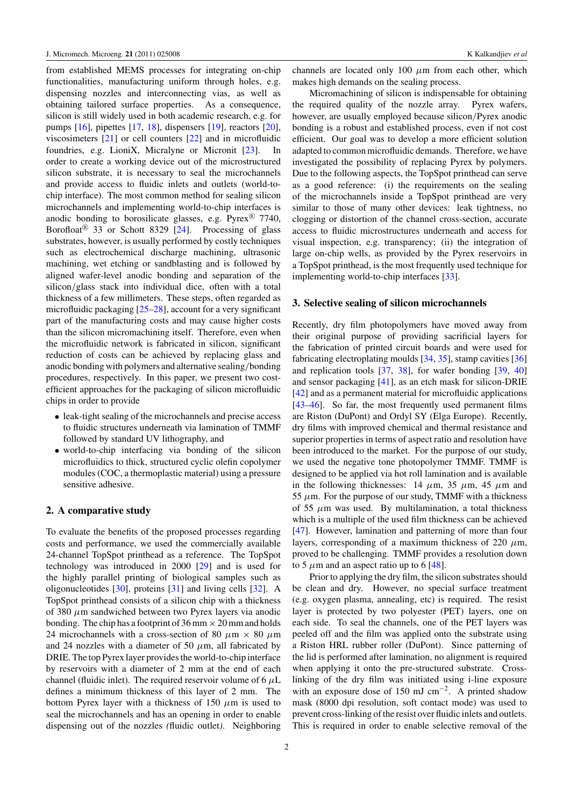from established MEMS processes for integrating on-chip functionalities, manufacturing uniform through holes, e.g. dispensing nozzles and interconnecting vias, as well as obtaining tailored surface properties. As a consequence, silicon is still widely used in both academic research, e.g. for pumps [\[16](#page-7-0)], pipettes [\[17,](#page-7-0) [18](#page-7-0)], dispensers [\[19](#page-7-0)], reactors [\[20](#page-7-0)], viscosimeters [\[21](#page-7-0)] or cell counters [\[22\]](#page-7-0) and in microfluidic foundries, e.g. LioniX, Micralyne or Micronit [\[23](#page-7-0)]. In order to create a working device out of the microstructured silicon substrate, it is necessary to seal the microchannels and provide access to fluidic inlets and outlets (world-tochip interface). The most common method for sealing silicon microchannels and implementing world-to-chip interfaces is anodic bonding to borosilicate glasses, e.g.  $Pyrex^{\circledR}$  7740, Borofloat<sup>(8)</sup> 33 or Schott 8329 [\[24](#page-7-0)]. Processing of glass substrates, however, is usually performed by costly techniques such as electrochemical discharge machining, ultrasonic machining, wet etching or sandblasting and is followed by aligned wafer-level anodic bonding and separation of the silicon*/*glass stack into individual dice, often with a total thickness of a few millimeters. These steps, often regarded as microfluidic packaging [\[25–28](#page-7-0)], account for a very significant part of the manufacturing costs and may cause higher costs than the silicon micromachining itself. Therefore, even when the microfluidic network is fabricated in silicon, significant reduction of costs can be achieved by replacing glass and anodic bonding with polymers and alternative sealing*/*bonding procedures, respectively. In this paper, we present two costefficient approaches for the packaging of silicon microfluidic chips in order to provide

- leak-tight sealing of the microchannels and precise access to fluidic structures underneath via lamination of TMMF followed by standard UV lithography, and
- world-to-chip interfacing via bonding of the silicon microfluidics to thick, structured cyclic olefin copolymer modules (COC, a thermoplastic material) using a pressure sensitive adhesive.

# **2. A comparative study**

To evaluate the benefits of the proposed processes regarding costs and performance, we used the commercially available 24-channel TopSpot printhead as a reference. The TopSpot technology was introduced in 2000 [\[29\]](#page-7-0) and is used for the highly parallel printing of biological samples such as oligonucleotides [\[30\]](#page-7-0), proteins [\[31\]](#page-7-0) and living cells [\[32](#page-7-0)]. A TopSpot printhead consists of a silicon chip with a thickness of 380 *μ*m sandwiched between two Pyrex layers via anodic bonding. The chip has a footprint of 36 mm  $\times$  20 mm and holds 24 microchannels with a cross-section of 80  $\mu$ m  $\times$  80  $\mu$ m and 24 nozzles with a diameter of 50  $\mu$ m, all fabricated by DRIE. The top Pyrex layer provides the world-to-chip interface by reservoirs with a diameter of 2 mm at the end of each channel (fluidic inlet). The required reservoir volume of 6 *μ*L defines a minimum thickness of this layer of 2 mm. The bottom Pyrex layer with a thickness of 150 *μ*m is used to seal the microchannels and has an opening in order to enable dispensing out of the nozzles *(*fluidic outlet*)*. Neighboring channels are located only 100 *μ*m from each other, which makes high demands on the sealing process.

Micromachining of silicon is indispensable for obtaining the required quality of the nozzle array. Pyrex wafers, however, are usually employed because silicon*/*Pyrex anodic bonding is a robust and established process, even if not cost efficient. Our goal was to develop a more efficient solution adapted to common microfluidic demands. Therefore, we have investigated the possibility of replacing Pyrex by polymers. Due to the following aspects, the TopSpot printhead can serve as a good reference: (i) the requirements on the sealing of the microchannels inside a TopSpot printhead are very similar to those of many other devices: leak tightness, no clogging or distortion of the channel cross-section, accurate access to fluidic microstructures underneath and access for visual inspection, e.g. transparency; (ii) the integration of large on-chip wells, as provided by the Pyrex reservoirs in a TopSpot printhead, is the most frequently used technique for implementing world-to-chip interfaces [\[33\]](#page-7-0).

#### **3. Selective sealing of silicon microchannels**

Recently, dry film photopolymers have moved away from their original purpose of providing sacrificial layers for the fabrication of printed circuit boards and were used for fabricating electroplating moulds [\[34](#page-7-0), [35](#page-7-0)], stamp cavities [\[36\]](#page-7-0) and replication tools [\[37](#page-7-0), [38](#page-7-0)], for wafer bonding [\[39,](#page-7-0) [40\]](#page-7-0) and sensor packaging [\[41\]](#page-7-0), as an etch mask for silicon-DRIE [\[42](#page-7-0)] and as a permanent material for microfluidic applications [\[43–46](#page-7-0)]. So far, the most frequently used permanent films are Riston (DuPont) and Ordyl SY (Elga Europe). Recently, dry films with improved chemical and thermal resistance and superior properties in terms of aspect ratio and resolution have been introduced to the market. For the purpose of our study, we used the negative tone photopolymer TMMF. TMMF is designed to be applied via hot roll lamination and is available in the following thicknesses:  $14 \mu m$ ,  $35 \mu m$ ,  $45 \mu m$  and  $55 \mu$ m. For the purpose of our study, TMMF with a thickness of 55  $\mu$ m was used. By multilamination, a total thickness which is a multiple of the used film thickness can be achieved [\[47](#page-7-0)]. However, lamination and patterning of more than four layers, corresponding of a maximum thickness of 220 *μ*m, proved to be challenging. TMMF provides a resolution down to 5  $\mu$ m and an aspect ratio up to 6 [\[48](#page-8-0)].

Prior to applying the dry film, the silicon substrates should be clean and dry. However, no special surface treatment (e.g. oxygen plasma, annealing, etc) is required. The resist layer is protected by two polyester (PET) layers, one on each side. To seal the channels, one of the PET layers was peeled off and the film was applied onto the substrate using a Riston HRL rubber roller (DuPont). Since patterning of the lid is performed after lamination, no alignment is required when applying it onto the pre-structured substrate. Crosslinking of the dry film was initiated using i-line exposure with an exposure dose of 150 mJ cm<sup>-2</sup>. A printed shadow mask (8000 dpi resolution, soft contact mode) was used to prevent cross-linking of the resist over fluidic inlets and outlets. This is required in order to enable selective removal of the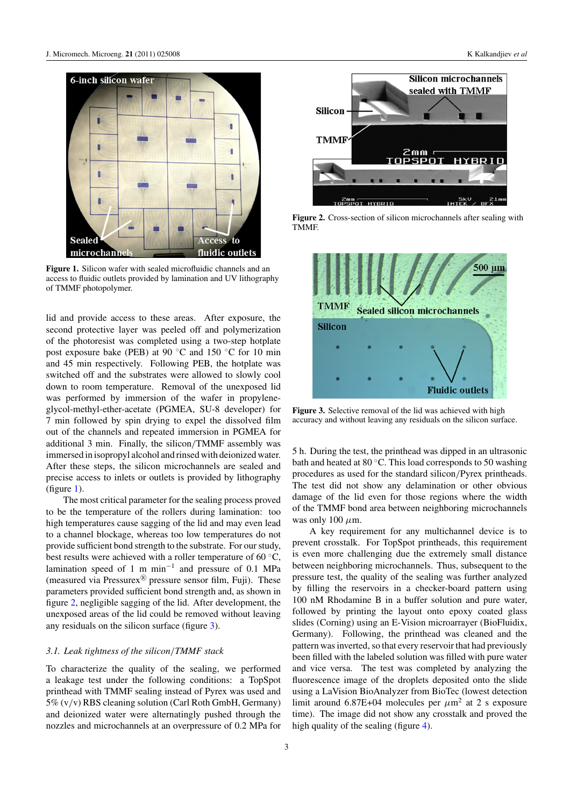

**Figure 1.** Silicon wafer with sealed microfluidic channels and an access to fluidic outlets provided by lamination and UV lithography of TMMF photopolymer.

lid and provide access to these areas. After exposure, the second protective layer was peeled off and polymerization of the photoresist was completed using a two-step hotplate post exposure bake (PEB) at 90 °C and 150 °C for 10 min and 45 min respectively. Following PEB, the hotplate was switched off and the substrates were allowed to slowly cool down to room temperature. Removal of the unexposed lid was performed by immersion of the wafer in propyleneglycol-methyl-ether-acetate (PGMEA, SU-8 developer) for 7 min followed by spin drying to expel the dissolved film out of the channels and repeated immersion in PGMEA for additional 3 min. Finally, the silicon*/*TMMF assembly was immersed in isopropyl alcohol and rinsed with deionized water. After these steps, the silicon microchannels are sealed and precise access to inlets or outlets is provided by lithography (figure 1).

The most critical parameter for the sealing process proved to be the temperature of the rollers during lamination: too high temperatures cause sagging of the lid and may even lead to a channel blockage, whereas too low temperatures do not provide sufficient bond strength to the substrate. For our study, best results were achieved with a roller temperature of 60 ◦C, lamination speed of 1 m min−<sup>1</sup> and pressure of 0.1 MPa (measured via Pressurex $\mathbb{R}^n$  pressure sensor film, Fuji). These parameters provided sufficient bond strength and, as shown in figure 2, negligible sagging of the lid. After development, the unexposed areas of the lid could be removed without leaving any residuals on the silicon surface (figure 3).

#### *3.1. Leak tightness of the silicon/TMMF stack*

To characterize the quality of the sealing, we performed a leakage test under the following conditions: a TopSpot printhead with TMMF sealing instead of Pyrex was used and 5% (v*/*v) RBS cleaning solution (Carl Roth GmbH, Germany) and deionized water were alternatingly pushed through the nozzles and microchannels at an overpressure of 0.2 MPa for



**Figure 2.** Cross-section of silicon microchannels after sealing with TMMF.



**Figure 3.** Selective removal of the lid was achieved with high accuracy and without leaving any residuals on the silicon surface.

5 h. During the test, the printhead was dipped in an ultrasonic bath and heated at 80 ◦C. This load corresponds to 50 washing procedures as used for the standard silicon*/*Pyrex printheads. The test did not show any delamination or other obvious damage of the lid even for those regions where the width of the TMMF bond area between neighboring microchannels was only 100 *μ*m.

A key requirement for any multichannel device is to prevent crosstalk. For TopSpot printheads, this requirement is even more challenging due the extremely small distance between neighboring microchannels. Thus, subsequent to the pressure test, the quality of the sealing was further analyzed by filling the reservoirs in a checker-board pattern using 100 nM Rhodamine B in a buffer solution and pure water, followed by printing the layout onto epoxy coated glass slides (Corning) using an E-Vision microarrayer (BioFluidix, Germany). Following, the printhead was cleaned and the pattern was inverted, so that every reservoir that had previously been filled with the labeled solution was filled with pure water and vice versa. The test was completed by analyzing the fluorescence image of the droplets deposited onto the slide using a LaVision BioAnalyzer from BioTec (lowest detection limit around 6.87E+04 molecules per *μ*m2 at 2 s exposure time). The image did not show any crosstalk and proved the high quality of the sealing (figure  $4$ ).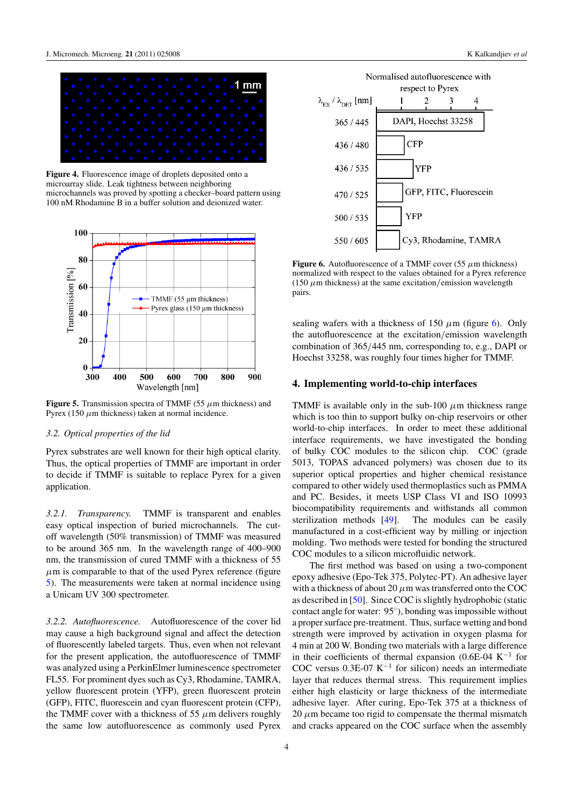<span id="page-4-0"></span>

**Figure 4.** Fluorescence image of droplets deposited onto a microarray slide. Leak tightness between neighboring microchannels was proved by spotting a checker–board pattern using 100 nM Rhodamine B in a buffer solution and deionized water.



**Figure 5.** Transmission spectra of TMMF (55 *μ*m thickness) and Pyrex (150  $\mu$ m thickness) taken at normal incidence.

# *3.2. Optical properties of the lid*

Pyrex substrates are well known for their high optical clarity. Thus, the optical properties of TMMF are important in order to decide if TMMF is suitable to replace Pyrex for a given application.

*3.2.1. Transparency.* TMMF is transparent and enables easy optical inspection of buried microchannels. The cutoff wavelength (50% transmission) of TMMF was measured to be around 365 nm. In the wavelength range of 400–900 nm, the transmission of cured TMMF with a thickness of 55  $\mu$ m is comparable to that of the used Pyrex reference (figure 5). The measurements were taken at normal incidence using a Unicam UV 300 spectrometer.

*3.2.2. Autofluorescence.* Autofluorescence of the cover lid may cause a high background signal and affect the detection of fluorescently labeled targets. Thus, even when not relevant for the present application, the autofluorescence of TMMF was analyzed using a PerkinElmer luminescence spectrometer FL55. For prominent dyes such as Cy3, Rhodamine, TAMRA, yellow fluorescent protein (YFP), green fluorescent protein (GFP), FITC, fluorescein and cyan fluorescent protein (CFP), the TMMF cover with a thickness of 55 *μ*m delivers roughly the same low autofluorescence as commonly used Pyrex



**Figure 6.** Autofluorescence of a TMMF cover (55 *μ*m thickness) normalized with respect to the values obtained for a Pyrex reference (150  $\mu$ m thickness) at the same excitation/emission wavelength pairs.

sealing wafers with a thickness of 150  $\mu$ m (figure 6). Only the autofluorescence at the excitation*/*emission wavelength combination of 365*/*445 nm, corresponding to, e.g., DAPI or Hoechst 33258, was roughly four times higher for TMMF.

### **4. Implementing world-to-chip interfaces**

TMMF is available only in the sub-100 *μ*m thickness range which is too thin to support bulky on-chip reservoirs or other world-to-chip interfaces. In order to meet these additional interface requirements, we have investigated the bonding of bulky COC modules to the silicon chip. COC (grade 5013, TOPAS advanced polymers) was chosen due to its superior optical properties and higher chemical resistance compared to other widely used thermoplastics such as PMMA and PC. Besides, it meets USP Class VI and ISO 10993 biocompatibility requirements and withstands all common sterilization methods [\[49](#page-8-0)]. The modules can be easily manufactured in a cost-efficient way by milling or injection molding. Two methods were tested for bonding the structured COC modules to a silicon microfluidic network.

The first method was based on using a two-component epoxy adhesive (Epo-Tek 375, Polytec-PT). An adhesive layer with a thickness of about 20  $\mu$ m was transferred onto the COC as described in [\[50](#page-8-0)]. Since COC is slightly hydrophobic (static contact angle for water: 95◦), bonding was impossible without a proper surface pre-treatment. Thus, surface wetting and bond strength were improved by activation in oxygen plasma for 4 min at 200 W. Bonding two materials with a large difference in their coefficients of thermal expansion (0.6E-04 K−<sup>1</sup> for COC versus  $0.3E-07 K^{-1}$  for silicon) needs an intermediate layer that reduces thermal stress. This requirement implies either high elasticity or large thickness of the intermediate adhesive layer. After curing, Epo-Tek 375 at a thickness of  $20 \mu$ m became too rigid to compensate the thermal mismatch and cracks appeared on the COC surface when the assembly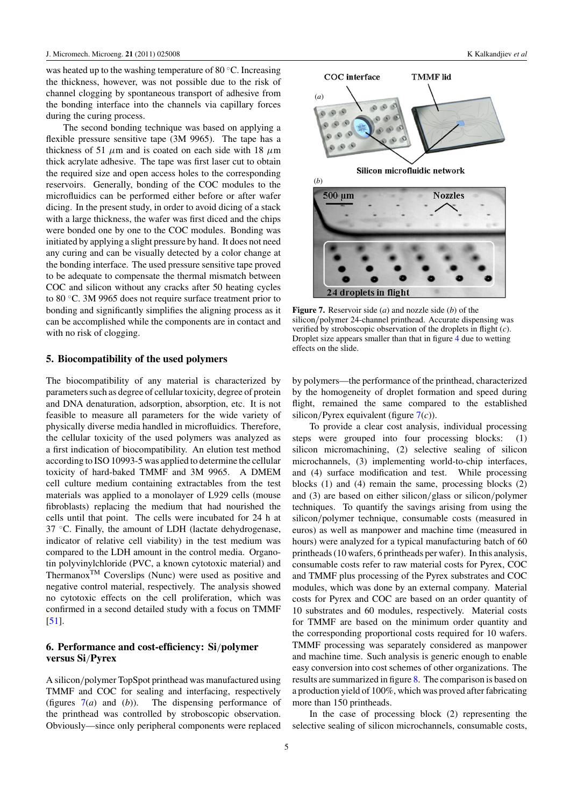was heated up to the washing temperature of 80 °C. Increasing the thickness, however, was not possible due to the risk of channel clogging by spontaneous transport of adhesive from the bonding interface into the channels via capillary forces during the curing process.

The second bonding technique was based on applying a flexible pressure sensitive tape (3M 9965). The tape has a thickness of 51 *μ*m and is coated on each side with 18 *μ*m thick acrylate adhesive. The tape was first laser cut to obtain the required size and open access holes to the corresponding reservoirs. Generally, bonding of the COC modules to the microfluidics can be performed either before or after wafer dicing. In the present study, in order to avoid dicing of a stack with a large thickness, the wafer was first diced and the chips were bonded one by one to the COC modules. Bonding was initiated by applying a slight pressure by hand. It does not need any curing and can be visually detected by a color change at the bonding interface. The used pressure sensitive tape proved to be adequate to compensate the thermal mismatch between COC and silicon without any cracks after 50 heating cycles to 80 ◦C. 3M 9965 does not require surface treatment prior to bonding and significantly simplifies the aligning process as it can be accomplished while the components are in contact and with no risk of clogging.

#### **5. Biocompatibility of the used polymers**

The biocompatibility of any material is characterized by parameters such as degree of cellular toxicity, degree of protein and DNA denaturation, adsorption, absorption, etc. It is not feasible to measure all parameters for the wide variety of physically diverse media handled in microfluidics. Therefore, the cellular toxicity of the used polymers was analyzed as a first indication of biocompatibility. An elution test method according to ISO 10993-5 was applied to determine the cellular toxicity of hard-baked TMMF and 3M 9965. A DMEM cell culture medium containing extractables from the test materials was applied to a monolayer of L929 cells (mouse fibroblasts) replacing the medium that had nourished the cells until that point. The cells were incubated for 24 h at 37 ◦C. Finally, the amount of LDH (lactate dehydrogenase, indicator of relative cell viability) in the test medium was compared to the LDH amount in the control media. Organotin polyvinylchloride (PVC, a known cytotoxic material) and Thermanox<sup>TM</sup> Coverslips (Nunc) were used as positive and negative control material, respectively. The analysis showed no cytotoxic effects on the cell proliferation, which was confirmed in a second detailed study with a focus on TMMF [\[51](#page-8-0)].

# **6. Performance and cost-efficiency: Si***/***polymer versus Si***/***Pyrex**

A silicon*/*polymer TopSpot printhead was manufactured using TMMF and COC for sealing and interfacing, respectively (figures 7(*a*) and (*b*)). The dispensing performance of the printhead was controlled by stroboscopic observation. Obviously—since only peripheral components were replaced



**Figure 7.** Reservoir side (*a*) and nozzle side (*b*) of the silicon*/*polymer 24-channel printhead. Accurate dispensing was verified by stroboscopic observation of the droplets in flight (*c*). Droplet size appears smaller than that in figure [4](#page-4-0) due to wetting effects on the slide.

by polymers—the performance of the printhead, characterized by the homogeneity of droplet formation and speed during flight, remained the same compared to the established silicon*/*Pyrex equivalent (figure 7(*c*)).

To provide a clear cost analysis, individual processing steps were grouped into four processing blocks: (1) silicon micromachining, (2) selective sealing of silicon microchannels, (3) implementing world-to-chip interfaces, and (4) surface modification and test. While processing blocks (1) and (4) remain the same, processing blocks (2) and (3) are based on either silicon*/*glass or silicon*/*polymer techniques. To quantify the savings arising from using the silicon*/*polymer technique, consumable costs (measured in euros) as well as manpower and machine time (measured in hours) were analyzed for a typical manufacturing batch of 60 printheads (10 wafers, 6 printheads per wafer). In this analysis, consumable costs refer to raw material costs for Pyrex, COC and TMMF plus processing of the Pyrex substrates and COC modules, which was done by an external company. Material costs for Pyrex and COC are based on an order quantity of 10 substrates and 60 modules, respectively. Material costs for TMMF are based on the minimum order quantity and the corresponding proportional costs required for 10 wafers. TMMF processing was separately considered as manpower and machine time. Such analysis is generic enough to enable easy conversion into cost schemes of other organizations. The results are summarized in figure [8.](#page-6-0) The comparison is based on a production yield of 100%, which was proved after fabricating more than 150 printheads.

In the case of processing block (2) representing the selective sealing of silicon microchannels, consumable costs,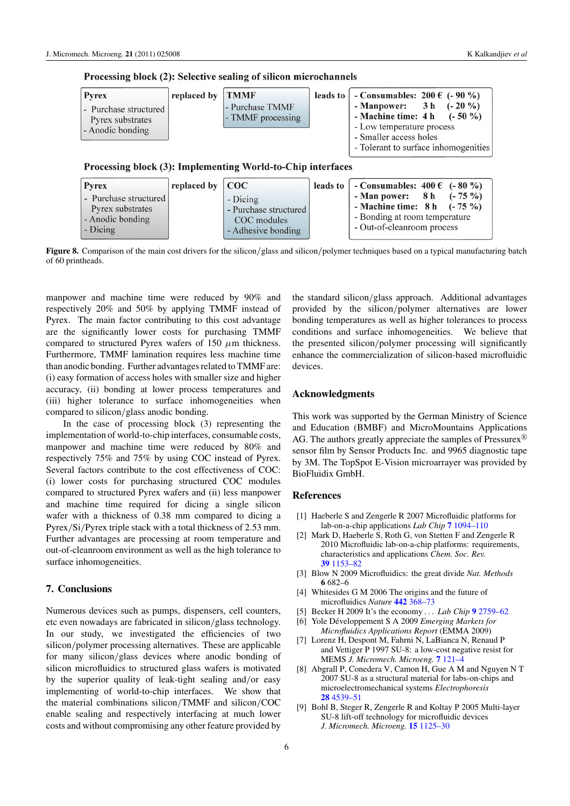<span id="page-6-0"></span>

|  |  |  |  |  | Processing block (2): Selective sealing of silicon microchannels |  |
|--|--|--|--|--|------------------------------------------------------------------|--|
|--|--|--|--|--|------------------------------------------------------------------|--|

| <b>Pyrex</b>                                                  | replaced by TMMF |                                      | leads to   - Consumables: $200 \in (-90\%)$                                                                       |
|---------------------------------------------------------------|------------------|--------------------------------------|-------------------------------------------------------------------------------------------------------------------|
| - Purchase structured<br>Pyrex substrates<br>- Anodic bonding |                  | - Purchase TMMF<br>- TMMF processing | - Manpower: $3 h (-20 %)$<br>- Machine time: $4 h$ (-50 %)<br>- Low temperature process<br>- Smaller access holes |
|                                                               |                  |                                      | - Tolerant to surface inhomogenities                                                                              |

Processing block (3): Implementing World-to-Chip interfaces

| <b>Pyrex</b>                                                              | replaced by $\vert$ COC |                                                                        | leads to $\vert$ - Consumables: 400 $\epsilon$ (-80 %)                                                                     |
|---------------------------------------------------------------------------|-------------------------|------------------------------------------------------------------------|----------------------------------------------------------------------------------------------------------------------------|
| - Purchase structured<br>Pyrex substrates<br>- Anodic bonding<br>- Dicing |                         | - Dicing<br>- Purchase structured<br>COC modules<br>- Adhesive bonding | - Man power: $8 h$ (-75 %)<br>- Machine time: $8 h$ (-75 %)<br>- Bonding at room temperature<br>- Out-of-cleanroom process |

**Figure 8.** Comparison of the main cost drivers for the silicon*/*glass and silicon*/*polymer techniques based on a typical manufacturing batch of 60 printheads.

manpower and machine time were reduced by 90% and respectively 20% and 50% by applying TMMF instead of Pyrex. The main factor contributing to this cost advantage are the significantly lower costs for purchasing TMMF compared to structured Pyrex wafers of 150 *μ*m thickness. Furthermore, TMMF lamination requires less machine time than anodic bonding. Further advantages related to TMMF are: (i) easy formation of access holes with smaller size and higher accuracy, (ii) bonding at lower process temperatures and (iii) higher tolerance to surface inhomogeneities when compared to silicon*/*glass anodic bonding.

In the case of processing block (3) representing the implementation of world-to-chip interfaces, consumable costs, manpower and machine time were reduced by 80% and respectively 75% and 75% by using COC instead of Pyrex. Several factors contribute to the cost effectiveness of COC: (i) lower costs for purchasing structured COC modules compared to structured Pyrex wafers and (ii) less manpower and machine time required for dicing a single silicon wafer with a thickness of 0.38 mm compared to dicing a Pyrex*/*Si*/*Pyrex triple stack with a total thickness of 2.53 mm. Further advantages are processing at room temperature and out-of-cleanroom environment as well as the high tolerance to surface inhomogeneities.

# **7. Conclusions**

Numerous devices such as pumps, dispensers, cell counters, etc even nowadays are fabricated in silicon*/*glass technology. In our study, we investigated the efficiencies of two silicon*/*polymer processing alternatives. These are applicable for many silicon*/*glass devices where anodic bonding of silicon microfluidics to structured glass wafers is motivated by the superior quality of leak-tight sealing and*/*or easy implementing of world-to-chip interfaces. We show that the material combinations silicon*/*TMMF and silicon*/*COC enable sealing and respectively interfacing at much lower costs and without compromising any other feature provided by

the standard silicon*/*glass approach. Additional advantages provided by the silicon*/*polymer alternatives are lower bonding temperatures as well as higher tolerances to process conditions and surface inhomogeneities. We believe that the presented silicon*/*polymer processing will significantly enhance the commercialization of silicon-based microfluidic devices.

#### **Acknowledgments**

This work was supported by the German Ministry of Science and Education (BMBF) and MicroMountains Applications AG. The authors greatly appreciate the samples of Pressurex<sup>®</sup> sensor film by Sensor Products Inc. and 9965 diagnostic tape by 3M. The TopSpot E-Vision microarrayer was provided by BioFluidix GmbH.

#### **References**

- [1] Haeberle S and Zengerle R 2007 Microfluidic platforms for lab-on-a-chip applications *Lab Chip* **7** [1094–110](http://dx.doi.org/10.1039/b706364b)
- [2] Mark D, Haeberle S, Roth G, von Stetten F and Zengerle R 2010 Microfluidic lab-on-a-chip platforms: requirements, characteristics and applications *Chem. Soc. Rev.* **39** [1153–82](http://dx.doi.org/10.1039/b820557b)
- [3] Blow N 2009 Microfluidics: the great divide *Nat. Methods* **6** 682–6
- [4] Whitesides G M 2006 The origins and the future of microfluidics *Nature* **442** [368–73](http://dx.doi.org/10.1038/nature05058)
- [5] Becker H 2009 It's the economy *... Lab Chip* **9** [2759–62](http://dx.doi.org/10.1039/b916505n)
- [6] Yole Développement S A 2009 *Emerging Markets for Microfluidics Applications Report* (EMMA 2009)
- [7] Lorenz H, Despont M, Fahrni N, LaBianca N, Renaud P and Vettiger P 1997 SU-8: a low-cost negative resist for MEMS *J. Micromech. Microeng.* **7** [121–4](http://dx.doi.org/10.1088/0960-1317/7/3/010)
- [8] Abgrall P, Conedera V, Camon H, Gue A M and Nguyen N T 2007 SU-8 as a structural material for labs-on-chips and microelectromechanical systems *Electrophoresis* **28** [4539–51](http://dx.doi.org/10.1002/elps.200700333)
- [9] Bohl B, Steger R, Zengerle R and Koltay P 2005 Multi-layer SU-8 lift-off technology for microfluidic devices *J. Micromech. Microeng.* **15** [1125–30](http://dx.doi.org/10.1088/0960-1317/15/6/002)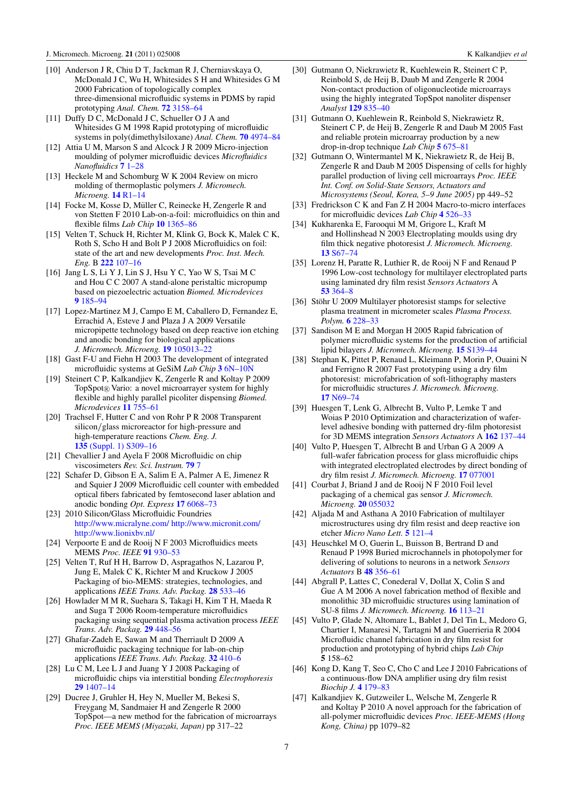- <span id="page-7-0"></span>[10] Anderson J R, Chiu D T, Jackman R J, Cherniavskaya O, McDonald J C, Wu H, Whitesides S H and Whitesides G M 2000 Fabrication of topologically complex three-dimensional microfluidic systems in PDMS by rapid prototyping *Anal. Chem.* **72** [3158–64](http://dx.doi.org/10.1021/ac9912294)
- [11] Duffy D C, McDonald J C, Schueller O J A and Whitesides G M 1998 Rapid prototyping of microfluidic systems in poly(dimethylsiloxane) *Anal. Chem.* **70** [4974–84](http://dx.doi.org/10.1021/ac980656z)
- [12] Attia U M, Marson S and Alcock J R 2009 Micro-injection moulding of polymer microfluidic devices *Microfluidics Nanofluidics* **7** [1–28](http://dx.doi.org/10.1007/s10404-009-0421-x)
- [13] Heckele M and Schomburg W K 2004 Review on micro molding of thermoplastic polymers *J. Micromech. Microeng.* **14** [R1–14](http://dx.doi.org/10.1088/0960-1317/14/3/R01)
- [14] Focke M, Kosse D, Müller C, Reinecke H, Zengerle R and von Stetten F 2010 Lab-on-a-foil: microfluidics on thin and flexible films *Lab Chip* **10** [1365–86](http://dx.doi.org/10.1039/c001195a)
- [15] Velten T, Schuck H, Richter M, Klink G, Bock K, Malek C K, Roth S, Scho H and Bolt P J 2008 Microfluidics on foil: state of the art and new developments *Proc. Inst. Mech. Eng.* B **222** [107–16](http://dx.doi.org/10.1243/09544054JEM866)
- [16] Jang L S, Li Y J, Lin S J, Hsu Y C, Yao W S, Tsai M C and Hou C C 2007 A stand-alone peristaltic micropump based on piezoelectric actuation *Biomed. Microdevices* **9** [185–94](http://dx.doi.org/10.1007/s10544-006-9020-8)
- [17] Lopez-Martinez M J, Campo E M, Caballero D, Fernandez E, Errachid A, Esteve J and Plaza J A 2009 Versatile micropipette technology based on deep reactive ion etching and anodic bonding for biological applications *J. Micromech. Microeng.* **19** [105013–22](http://dx.doi.org/10.1088/0960-1317/19/10/105013)
- [18] Gast F-U and Fiehn H 2003 The development of integrated microfluidic systems at GeSiM *Lab Chip* **3** [6N–10N](http://dx.doi.org/10.1039/b212706g)
- [19] Steinert C P, Kalkandjiev K, Zengerle R and Koltay P 2009 TopSpot® Vario: a novel microarrayer system for highly flexible and highly parallel picoliter dispensing *Biomed. Microdevices* **11** [755–61](http://dx.doi.org/10.1007/s10544-009-9289-5)
- [20] Trachsel F, Hutter C and von Rohr P R 2008 Transparent silicon*/*glass microreactor for high-pressure and high-temperature reactions *Chem. Eng. J.* **135** [\(Suppl. 1\) S309–16](http://dx.doi.org/10.1016/j.cej.2007.07.049)
- [21] Chevallier J and Ayela F 2008 Microfluidic on chip viscosimeters *Rev. Sci. Instrum.* **[79](http://dx.doi.org/10.1063/1.2940219)** 7
- [22] Schafer D, Gibson E A, Salim E A, Palmer A E, Jimenez R and Squier J 2009 Microfluidic cell counter with embedded optical fibers fabricated by femtosecond laser ablation and anodic bonding *Opt. Express* **17** [6068–73](http://dx.doi.org/10.1364/OE.17.006068)
- [23] 2010 Silicon/Glass Microfluidic Foundries <http://www.micralyne.com/><http://www.micronit.com/> <http://www.lionixbv.nl/>
- [24] Verpoorte E and de Rooij N F 2003 Microfluidics meets MEMS *Proc. IEEE* **91** [930–53](http://dx.doi.org/10.1109/JPROC.2003.813570)
- [25] Velten T, Ruf H H, Barrow D, Aspragathos N, Lazarou P, Jung E, Malek C K, Richter M and Kruckow J 2005 Packaging of bio-MEMS: strategies, technologies, and applications *IEEE Trans. Adv. Packag.* **28** [533–46](http://dx.doi.org/10.1109/TADVP.2005.858427)
- [26] Howlader M M R, Suehara S, Takagi H, Kim T H, Maeda R and Suga T 2006 Room-temperature microfluidics packaging using sequential plasma activation process *IEEE Trans. Adv. Packag.* **29** [448–56](http://dx.doi.org/10.1109/TADVP.2006.875070)
- [27] Ghafar-Zadeh E, Sawan M and Therriault D 2009 A microfluidic packaging technique for lab-on-chip applications *IEEE Trans. Adv. Packag.* **32** [410–6](http://dx.doi.org/10.1109/TADVP.2008.920655)
- [28] Lu C M, Lee L J and Juang Y J 2008 Packaging of microfluidic chips via interstitial bonding *Electrophoresis* **29** [1407–14](http://dx.doi.org/10.1002/elps.200700680)
- [29] Ducree J, Gruhler H, Hey N, Mueller M, Bekesi S, Freygang M, Sandmaier H and Zengerle R 2000 TopSpot—a new method for the fabrication of microarrays *Proc. IEEE MEMS (Miyazaki, Japan)* pp 317–22
- [30] Gutmann O, Niekrawietz R, Kuehlewein R, Steinert C P, Reinbold S, de Heij B, Daub M and Zengerle R 2004 Non-contact production of oligonucleotide microarrays using the highly integrated TopSpot nanoliter dispenser *Analyst* **129** [835–40](http://dx.doi.org/10.1039/b408625m)
- [31] Gutmann O, Kuehlewein R, Reinbold S, Niekrawietz R, Steinert C P, de Heij B, Zengerle R and Daub M 2005 Fast and reliable protein microarray production by a new drop-in-drop technique *Lab Chip* **5** [675–81](http://dx.doi.org/10.1039/b418765b)
- [32] Gutmann O, Wintermantel M K, Niekrawietz R, de Heij B, Zengerle R and Daub M 2005 Dispensing of cells for highly parallel production of living cell microarrays *Proc. IEEE Int. Conf. on Solid-State Sensors, Actuators and Microsystems (Seoul, Korea, 5–9 June 2005)* pp 449–52
- [33] Fredrickson C K and Fan Z H 2004 Macro-to-micro interfaces for microfluidic devices *Lab Chip* **4** [526–33](http://dx.doi.org/10.1039/b410720a)
- [34] Kukharenka E, Farooqui M M, Grigore L, Kraft M and Hollinshead N 2003 Electroplating moulds using dry film thick negative photoresist *J. Micromech. Microeng.* **13** [S67–74](http://dx.doi.org/10.1088/0960-1317/13/4/311)
- [35] Lorenz H, Paratte R, Luthier R, de Rooij N F and Renaud P 1996 Low-cost technology for multilayer electroplated parts using laminated dry film resist *Sensors Actuators* A **53** [364–8](http://dx.doi.org/10.1016/0924-4247(96)01171-5)
- [36] Stöhr U 2009 Multilayer photoresist stamps for selective plasma treatment in micrometer scales *Plasma Process. Polym.* **6** [228–33](http://dx.doi.org/10.1002/ppap.200800217)
- [37] Sandison M E and Morgan H 2005 Rapid fabrication of polymer microfluidic systems for the production of artificial lipid bilayers *J. Micromech. Microeng.* **15** [S139–44](http://dx.doi.org/10.1088/0960-1317/15/7/020)
- [38] Stephan K, Pittet P, Renaud L, Kleimann P, Morin P, Ouaini N and Ferrigno R 2007 Fast prototyping using a dry film photoresist: microfabrication of soft-lithography masters for microfluidic structures *J. Micromech. Microeng.* **17** [N69–74](http://dx.doi.org/10.1088/0960-1317/17/10/N01)
- [39] Huesgen T, Lenk G, Albrecht B, Vulto P, Lemke T and Woias P 2010 Optimization and characterization of waferlevel adhesive bonding with patterned dry-film photoresist for 3D MEMS integration *Sensors Actuators* A **162** [137–44](http://dx.doi.org/10.1016/j.sna.2010.06.008)
- [40] Vulto P, Huesgen T, Albrecht B and Urban G A 2009 A full-wafer fabrication process for glass microfluidic chips with integrated electroplated electrodes by direct bonding of dry film resist *J. Micromech. Microeng.* **17** [077001](http://dx.doi.org/10.1088/0960-1317/19/7/077001)
- [41] Courbat J, Briand J and de Rooij N F 2010 Foil level packaging of a chemical gas sensor *J. Micromech. Microeng.* **20** [055032](http://dx.doi.org/10.1088/0960-1317/20/5/055026)
- [42] Aljada M and Asthana A 2010 Fabrication of multilayer microstructures using dry film resist and deep reactive ion etcher *Micro Nano Lett.* **5** [121–4](http://dx.doi.org/10.1049/mnl.2010.0019)
- [43] Heuschkel M O, Guerin L, Buisson B, Bertrand D and Renaud P 1998 Buried microchannels in photopolymer for delivering of solutions to neurons in a network *Sensors Actuators* B **48** [356–61](http://dx.doi.org/10.1016/S0925-4005(98)00071-9)
- [44] Abgrall P, Lattes C, Conederal V, Dollat X, Colin S and Gue A M 2006 A novel fabrication method of flexible and monolithic 3D microfluidic structures using lamination of SU-8 films *J. Micromech. Microeng.* **16** [113–21](http://dx.doi.org/10.1088/0960-1317/16/1/016)
- [45] Vulto P, Glade N, Altomare L, Bablet J, Del Tin L, Medoro G, Chartier I, Manaresi N, Tartagni M and Guerrieria R 2004 Microfluidic channel fabrication in dry film resist for production and prototyping of hybrid chips *Lab Chip* **5** 158–62
- [46] Kong D, Kang T, Seo C, Cho C and Lee J 2010 Fabrications of a continuous-flow DNA amplifier using dry film resist *Biochip J.* **4** [179–83](http://dx.doi.org/10.1007/s13206-010-4303-9)
- [47] Kalkandjiev K, Gutzweiler L, Welsche M, Zengerle R and Koltay P 2010 A novel approach for the fabrication of all-polymer microfluidic devices *Proc. IEEE-MEMS (Hong Kong, China)* pp 1079–82